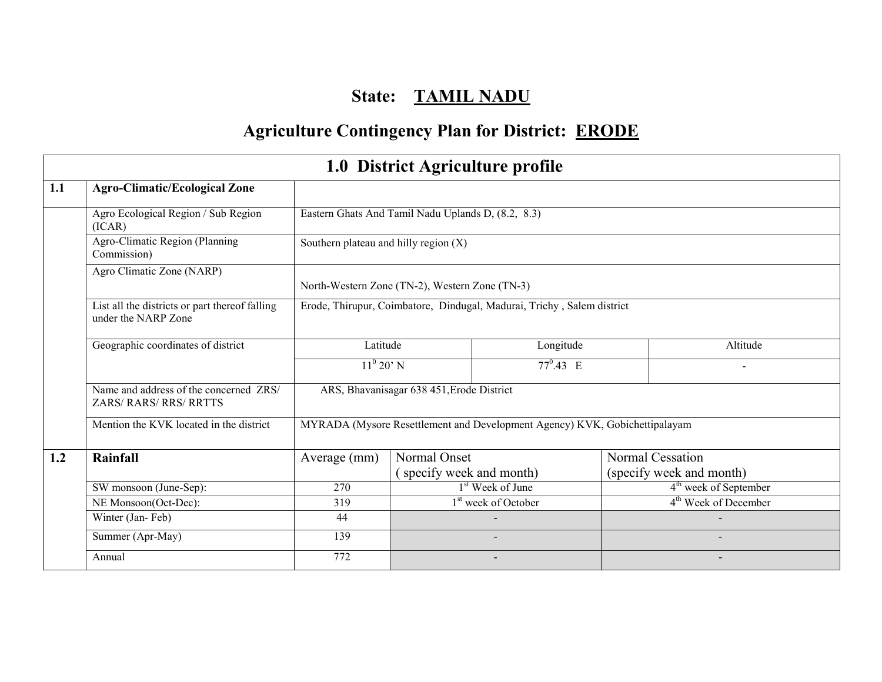# State: TAMIL NADU

# Agriculture Contingency Plan for District: ERODE

|     | 1.0 District Agriculture profile                                      |                                                    |                                           |                                                                            |                                   |  |  |  |  |  |  |
|-----|-----------------------------------------------------------------------|----------------------------------------------------|-------------------------------------------|----------------------------------------------------------------------------|-----------------------------------|--|--|--|--|--|--|
| 1.1 | <b>Agro-Climatic/Ecological Zone</b>                                  |                                                    |                                           |                                                                            |                                   |  |  |  |  |  |  |
|     | Agro Ecological Region / Sub Region<br>(ICAR)                         | Eastern Ghats And Tamil Nadu Uplands D, (8.2, 8.3) |                                           |                                                                            |                                   |  |  |  |  |  |  |
|     | Agro-Climatic Region (Planning<br>Commission)                         | Southern plateau and hilly region $(X)$            |                                           |                                                                            |                                   |  |  |  |  |  |  |
|     | Agro Climatic Zone (NARP)                                             | North-Western Zone (TN-2), Western Zone (TN-3)     |                                           |                                                                            |                                   |  |  |  |  |  |  |
|     | List all the districts or part thereof falling<br>under the NARP Zone |                                                    |                                           | Erode, Thirupur, Coimbatore, Dindugal, Madurai, Trichy, Salem district     |                                   |  |  |  |  |  |  |
|     | Geographic coordinates of district                                    | Latitude                                           |                                           | Longitude                                                                  | Altitude                          |  |  |  |  |  |  |
|     |                                                                       | $11^{\rm o}$ 20' N                                 |                                           | $77^{\circ}.43 \text{ E}$                                                  |                                   |  |  |  |  |  |  |
|     | Name and address of the concerned ZRS/<br>ZARS/RARS/RRS/RRTTS         |                                                    | ARS, Bhavanisagar 638 451, Erode District |                                                                            |                                   |  |  |  |  |  |  |
|     | Mention the KVK located in the district                               |                                                    |                                           | MYRADA (Mysore Resettlement and Development Agency) KVK, Gobichettipalayam |                                   |  |  |  |  |  |  |
| 1.2 | <b>Rainfall</b>                                                       | Average (mm)                                       | Normal Onset                              |                                                                            | Normal Cessation                  |  |  |  |  |  |  |
|     |                                                                       |                                                    | (specify week and month)                  |                                                                            | (specify week and month)          |  |  |  |  |  |  |
|     | SW monsoon (June-Sep):                                                | 270                                                |                                           | 1 <sup>st</sup> Week of June                                               | 4 <sup>th</sup> week of September |  |  |  |  |  |  |
|     | NE Monsoon(Oct-Dec):                                                  | 319                                                | 1 <sup>st</sup> week of October           |                                                                            | 4 <sup>th</sup> Week of December  |  |  |  |  |  |  |
|     | Winter (Jan-Feb)                                                      | 44                                                 |                                           |                                                                            |                                   |  |  |  |  |  |  |
|     | Summer (Apr-May)                                                      | 139                                                |                                           |                                                                            |                                   |  |  |  |  |  |  |
|     | Annual                                                                | 772                                                |                                           |                                                                            |                                   |  |  |  |  |  |  |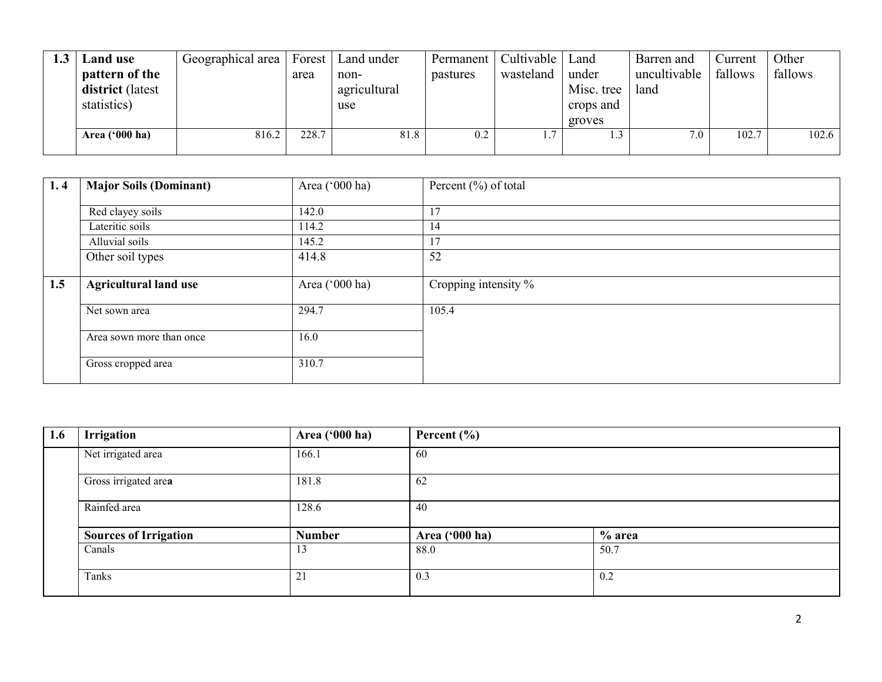| Land use                | Geographical area |       | Forest   Land under | Permanent | Cultivable | Land       | Barren and   | Current | Other   |
|-------------------------|-------------------|-------|---------------------|-----------|------------|------------|--------------|---------|---------|
| pattern of the          |                   | area  | non-                | pastures  | wasteland  | under      | uncultivable | fallows | fallows |
| district (latest        |                   |       | agricultural        |           |            | Misc. tree | land         |         |         |
| statistics)             |                   |       | use                 |           |            | crops and  |              |         |         |
|                         |                   |       |                     |           |            | groves     |              |         |         |
| Area $(900 \text{ ha})$ | 816.2             | 228.7 | 81.8                | 0.2       |            | ⊥.∠        | 7.0          | 102.7   | 102.6   |
|                         |                   |       |                     |           |            |            |              |         |         |

| 1.4 | <b>Major Soils (Dominant)</b> | Area ('000 ha) | Percent $(\% )$ of total |
|-----|-------------------------------|----------------|--------------------------|
|     | Red clayey soils              | 142.0          | 17                       |
|     | Lateritic soils               | 114.2          | 14                       |
|     | Alluvial soils                | 145.2          | 17                       |
|     | Other soil types              | 414.8          | 52                       |
| 1.5 | <b>Agricultural land use</b>  | Area ('000 ha) | Cropping intensity %     |
|     | Net sown area                 | 294.7          | 105.4                    |
|     | Area sown more than once      | 16.0           |                          |
|     | Gross cropped area            | 310.7          |                          |

| 1.6 | <b>Irrigation</b>            | Area ('000 ha) | Percent $(\% )$ |          |
|-----|------------------------------|----------------|-----------------|----------|
|     | Net irrigated area           | 166.1          | 60              |          |
|     | Gross irrigated area         | 181.8          | 62              |          |
|     | Rainfed area                 | 128.6          | 40              |          |
|     | <b>Sources of Irrigation</b> | <b>Number</b>  | Area ('000 ha)  | $%$ area |
|     | Canals                       | 13             | 88.0            | 50.7     |
|     | Tanks                        | 21             | 0.3             | 0.2      |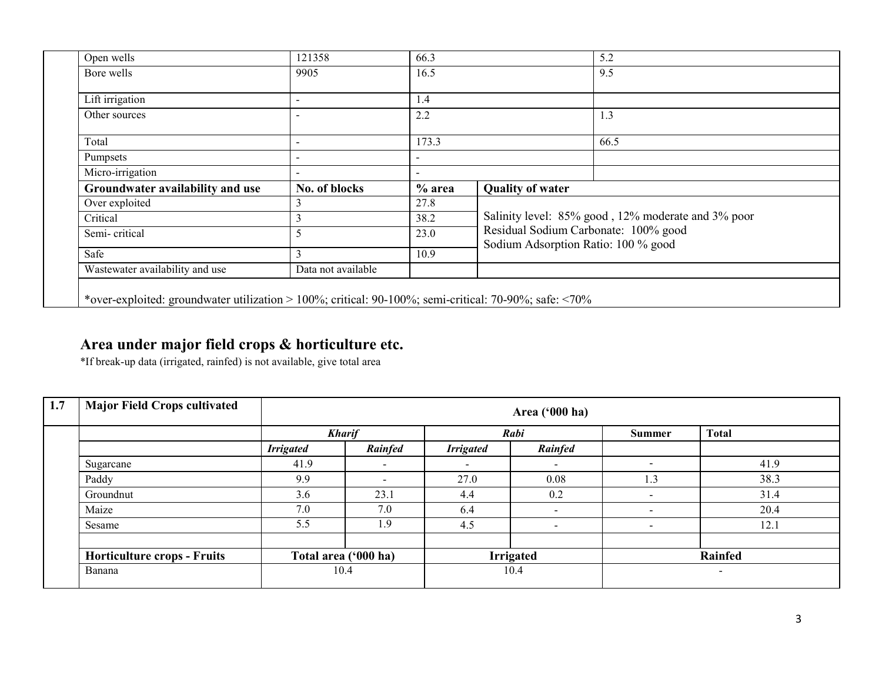| Open wells                       | 121358             | 66.3                     |                                     | 5.2                                                |  |  |
|----------------------------------|--------------------|--------------------------|-------------------------------------|----------------------------------------------------|--|--|
| Bore wells                       | 9905               | 16.5                     |                                     | 9.5                                                |  |  |
| Lift irrigation                  |                    | 1.4                      |                                     |                                                    |  |  |
| Other sources                    |                    | 2.2                      |                                     | 1.3                                                |  |  |
| Total                            |                    | 173.3                    |                                     | 66.5                                               |  |  |
| Pumpsets                         |                    |                          |                                     |                                                    |  |  |
| Micro-irrigation                 |                    | $\overline{\phantom{a}}$ |                                     |                                                    |  |  |
| Groundwater availability and use | No. of blocks      | $%$ area                 | <b>Quality of water</b>             |                                                    |  |  |
| Over exploited                   |                    | 27.8                     |                                     |                                                    |  |  |
| Critical                         |                    | 38.2                     |                                     | Salinity level: 85% good, 12% moderate and 3% poor |  |  |
| Semi-critical                    |                    | 23.0                     | Sodium Adsorption Ratio: 100 % good | Residual Sodium Carbonate: 100% good               |  |  |
| Safe                             |                    | 10.9                     |                                     |                                                    |  |  |
| Wastewater availability and use  | Data not available |                          |                                     |                                                    |  |  |

## Area under major field crops & horticulture etc.

\*If break-up data (irrigated, rainfed) is not available, give total area

| 1.7 | <b>Major Field Crops cultivated</b> | Area ('000 ha)   |                          |                          |                          |                          |              |  |  |  |
|-----|-------------------------------------|------------------|--------------------------|--------------------------|--------------------------|--------------------------|--------------|--|--|--|
|     |                                     | <b>Kharif</b>    |                          |                          | Rabi                     | Summer                   | <b>Total</b> |  |  |  |
|     |                                     | <b>Irrigated</b> | Rainfed                  | <b>Irrigated</b>         | Rainfed                  |                          |              |  |  |  |
|     | Sugarcane                           | 41.9             | $\overline{\phantom{a}}$ | $\overline{\phantom{a}}$ | <b>.</b>                 |                          | 41.9         |  |  |  |
|     | Paddy                               | 9.9              |                          | 27.0                     | 0.08                     | 1.3                      | 38.3         |  |  |  |
|     | Groundnut                           | 3.6              | 23.1                     | 4.4                      | 0.2                      |                          | 31.4         |  |  |  |
|     | Maize                               | 7.0              | 7.0                      | 6.4                      | $\sim$                   |                          | 20.4         |  |  |  |
|     | Sesame                              | 5.5              | 1.9                      | 4.5                      | $\overline{\phantom{a}}$ | $\overline{\phantom{0}}$ | 12.1         |  |  |  |
|     |                                     |                  |                          |                          |                          |                          |              |  |  |  |
|     | <b>Horticulture crops - Fruits</b>  |                  | Total area ('000 ha)     |                          | <b>Irrigated</b><br>10.4 |                          | Rainfed      |  |  |  |
|     | Banana                              | 10.4             |                          |                          |                          |                          | -            |  |  |  |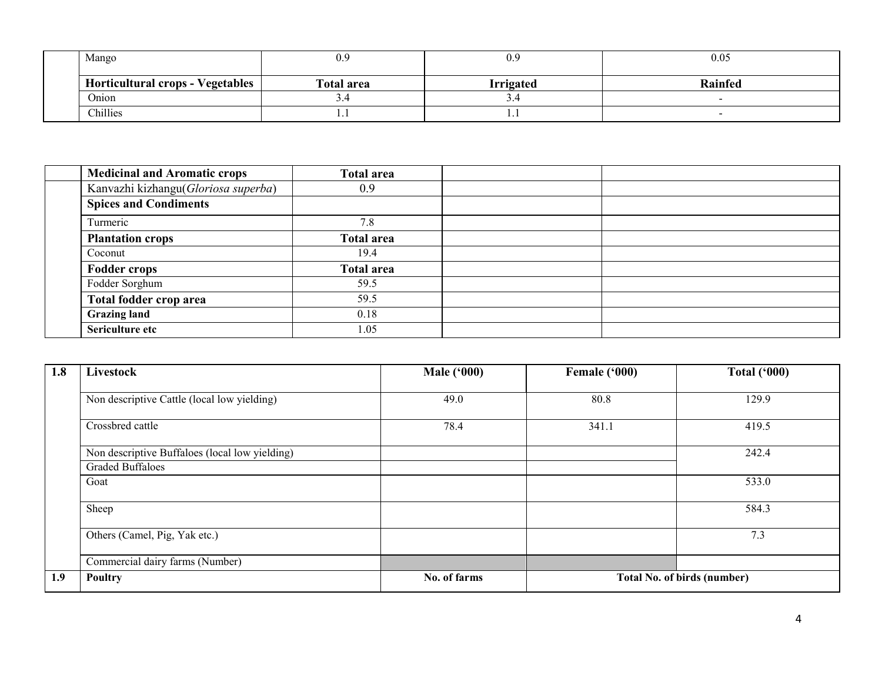| Mango                                   | 0.9               | 0.9              | 0.05           |  |  |
|-----------------------------------------|-------------------|------------------|----------------|--|--|
| <b>Horticultural crops - Vegetables</b> | <b>Total area</b> | <b>Irrigated</b> | <b>Rainfed</b> |  |  |
| Onion                                   | $\cup$ . $\neg$   | ⊃.¬              |                |  |  |
| Chillies                                | .                 | 1.1              |                |  |  |

| <b>Medicinal and Aromatic crops</b> | <b>Total area</b> |  |
|-------------------------------------|-------------------|--|
| Kanvazhi kizhangu(Gloriosa superba) | 0.9               |  |
| <b>Spices and Condiments</b>        |                   |  |
| Turmeric                            | 7.8               |  |
| <b>Plantation crops</b>             | <b>Total area</b> |  |
| Coconut                             | 19.4              |  |
| <b>Fodder crops</b>                 | <b>Total area</b> |  |
| Fodder Sorghum                      | 59.5              |  |
| Total fodder crop area              | 59.5              |  |
| <b>Grazing land</b>                 | 0.18              |  |
| Sericulture etc                     | 1.05              |  |

| 1.8 | Livestock                                      | <b>Male ('000)</b> | Female ('000) | Total $(900)$                      |
|-----|------------------------------------------------|--------------------|---------------|------------------------------------|
|     |                                                |                    |               |                                    |
|     | Non descriptive Cattle (local low yielding)    | 49.0               | 80.8          | 129.9                              |
|     | Crossbred cattle                               | 78.4               | 341.1         | 419.5                              |
|     | Non descriptive Buffaloes (local low yielding) |                    |               | 242.4                              |
|     | <b>Graded Buffaloes</b>                        |                    |               |                                    |
|     | Goat                                           |                    |               | 533.0                              |
|     | Sheep                                          |                    |               | 584.3                              |
|     |                                                |                    |               |                                    |
|     | Others (Camel, Pig, Yak etc.)                  |                    |               | 7.3                                |
|     | Commercial dairy farms (Number)                |                    |               |                                    |
| 1.9 | <b>Poultry</b>                                 | No. of farms       |               | <b>Total No. of birds (number)</b> |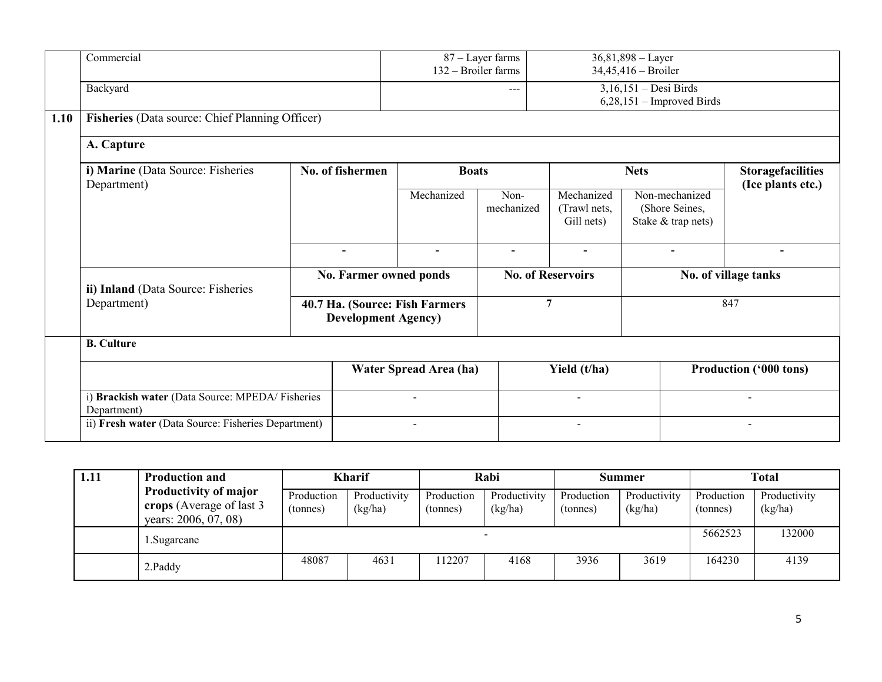|      | Commercial                                                     |                                                              |                        |                          | 87 – Layer farms<br>132 - Broiler farms | $36,81,898 - Layer$<br>34,45,416 - Broiler             |                                                        |                          |  |  |
|------|----------------------------------------------------------------|--------------------------------------------------------------|------------------------|--------------------------|-----------------------------------------|--------------------------------------------------------|--------------------------------------------------------|--------------------------|--|--|
|      | Backyard                                                       |                                                              |                        |                          | ---                                     | $3,16,151 - Desi Birds$<br>$6,28,151$ – Improved Birds |                                                        |                          |  |  |
| 1.10 | Fisheries (Data source: Chief Planning Officer)                |                                                              |                        |                          |                                         |                                                        |                                                        |                          |  |  |
|      | A. Capture                                                     |                                                              |                        |                          |                                         |                                                        |                                                        |                          |  |  |
|      | i) Marine (Data Source: Fisheries                              | No. of fishermen                                             |                        | <b>Boats</b>             |                                         |                                                        | <b>Nets</b>                                            | <b>Storagefacilities</b> |  |  |
|      | Department)                                                    |                                                              |                        | Mechanized               | Non-<br>mechanized                      | Mechanized<br>(Trawl nets,<br>Gill nets)               | Non-mechanized<br>(Shore Seines,<br>Stake & trap nets) | (Ice plants etc.)        |  |  |
|      |                                                                | $\blacksquare$                                               |                        | $\blacksquare$           | $\blacksquare$                          | $\blacksquare$                                         | $\blacksquare$                                         | $\overline{\phantom{0}}$ |  |  |
|      | ii) Inland (Data Source: Fisheries                             |                                                              | No. Farmer owned ponds |                          | <b>No. of Reservoirs</b>                |                                                        | No. of village tanks                                   |                          |  |  |
|      | Department)                                                    | 40.7 Ha. (Source: Fish Farmers<br><b>Development Agency)</b> |                        | $\overline{7}$           |                                         | 847                                                    |                                                        |                          |  |  |
|      | <b>B.</b> Culture                                              |                                                              |                        |                          |                                         |                                                        |                                                        |                          |  |  |
|      | i) Brackish water (Data Source: MPEDA/Fisheries<br>Department) |                                                              |                        | Water Spread Area (ha)   |                                         | Yield (t/ha)                                           | <b>Production ('000 tons)</b>                          |                          |  |  |
|      |                                                                |                                                              |                        | $\overline{\phantom{a}}$ |                                         | $\overline{\phantom{a}}$                               |                                                        | $\overline{\phantom{a}}$ |  |  |
|      | ii) Fresh water (Data Source: Fisheries Department)            |                                                              |                        | $\blacksquare$           |                                         | $\overline{\phantom{0}}$                               |                                                        | $\blacksquare$           |  |  |

| 1.11 | <b>Production and</b>                                                             | <b>Kharif</b>          |                         | Rabi                   |                         | Summer                 |                         | <b>Total</b>           |                         |
|------|-----------------------------------------------------------------------------------|------------------------|-------------------------|------------------------|-------------------------|------------------------|-------------------------|------------------------|-------------------------|
|      | <b>Productivity of major</b><br>crops (Average of last 3)<br>years: 2006, 07, 08) | Production<br>(tonnes) | Productivity<br>(kg/ha) | Production<br>(tonnes) | Productivity<br>(kg/ha) | Production<br>(tonnes) | Productivity<br>(kg/ha) | Production<br>(tonnes) | Productivity<br>(kg/ha) |
|      | Sugarcane                                                                         |                        |                         |                        |                         |                        |                         | 5662523                | 132000                  |
|      | 2.Paddy                                                                           | 48087                  | 4631                    | 12207                  | 4168                    | 3936                   | 3619                    | 164230                 | 4139                    |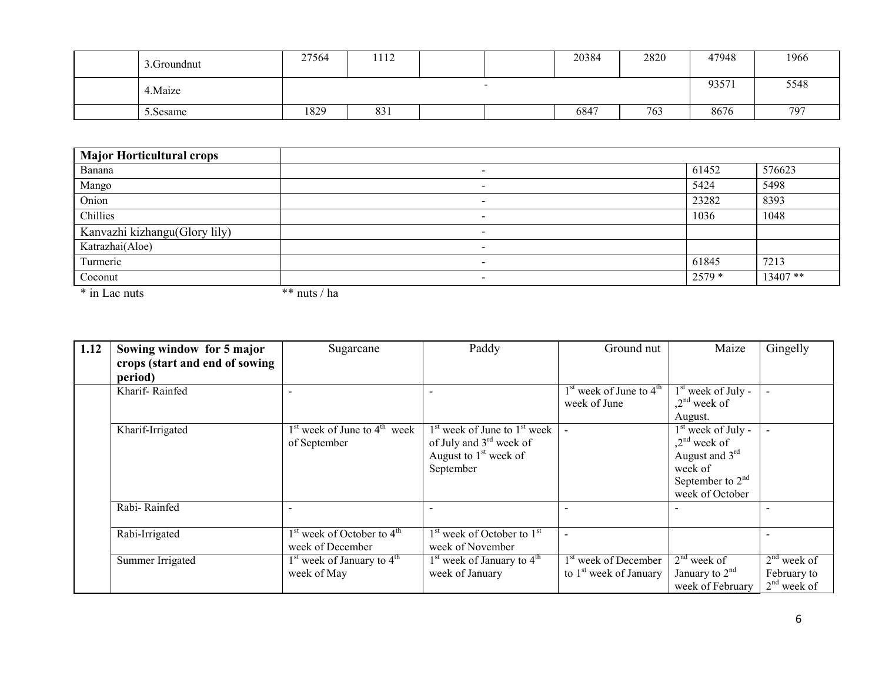| 3. Groundnut | 27564 | 1112 |                          | 20384 | 2820 | 47948 | 1966 |
|--------------|-------|------|--------------------------|-------|------|-------|------|
| 4. Maize     |       |      | $\overline{\phantom{0}}$ |       |      | 93571 | 5548 |
| 5.Sesame     | 1829  | 831  |                          | 6847  | 763  | 8676  | 797  |

| <b>Major Horticultural crops</b> |              |                          |        |          |
|----------------------------------|--------------|--------------------------|--------|----------|
| Banana                           |              | $\overline{\phantom{0}}$ | 61452  | 576623   |
| Mango                            |              |                          | 5424   | 5498     |
| Onion                            |              |                          | 23282  | 8393     |
| Chillies                         |              |                          | 1036   | 1048     |
| Kanvazhi kizhangu(Glory lily)    |              | $\,$                     |        |          |
| Katrazhai(Aloe)                  |              | $\overline{\phantom{a}}$ |        |          |
| Turmeric                         |              |                          | 61845  | 7213     |
| Coconut                          |              | $\overline{\phantom{0}}$ | 2579 * | 13407 ** |
| * in Lac nuts                    | ** nuts / ha |                          |        |          |

| 1.12 | Sowing window for 5 major<br>crops (start and end of sowing | Sugarcane                                          | Paddy                                                                                                 | Ground nut                                                   | Maize                                                                                                         | Gingelly                                      |
|------|-------------------------------------------------------------|----------------------------------------------------|-------------------------------------------------------------------------------------------------------|--------------------------------------------------------------|---------------------------------------------------------------------------------------------------------------|-----------------------------------------------|
|      | period)                                                     |                                                    |                                                                                                       |                                                              |                                                                                                               |                                               |
|      | Kharif-Rainfed                                              |                                                    |                                                                                                       | $1st$ week of June to $4th$<br>week of June                  | $1st$ week of July -<br>$2nd$ week of<br>August.                                                              |                                               |
|      | Kharif-Irrigated                                            | $1st$ week of June to $4th$ week<br>of September   | $1st$ week of June to $1st$ week<br>of July and $3rd$ week of<br>August to $1st$ week of<br>September |                                                              | $1st$ week of July -<br>$2nd$ week of<br>August and $3rd$<br>week of<br>September to $2nd$<br>week of October |                                               |
|      | Rabi-Rainfed                                                |                                                    |                                                                                                       |                                                              |                                                                                                               |                                               |
|      | Rabi-Irrigated                                              | $1st$ week of October to $4th$<br>week of December | $1st$ week of October to $1st$<br>week of November                                                    | $\overline{\phantom{a}}$                                     |                                                                                                               |                                               |
|      | Summer Irrigated                                            | $1st$ week of January to $4th$<br>week of May      | $1st$ week of January to $4th$<br>week of January                                                     | 1 <sup>st</sup> week of December<br>to $1st$ week of January | $2nd$ week of<br>January to $2nd$<br>week of February                                                         | $2nd$ week of<br>February to<br>$2nd$ week of |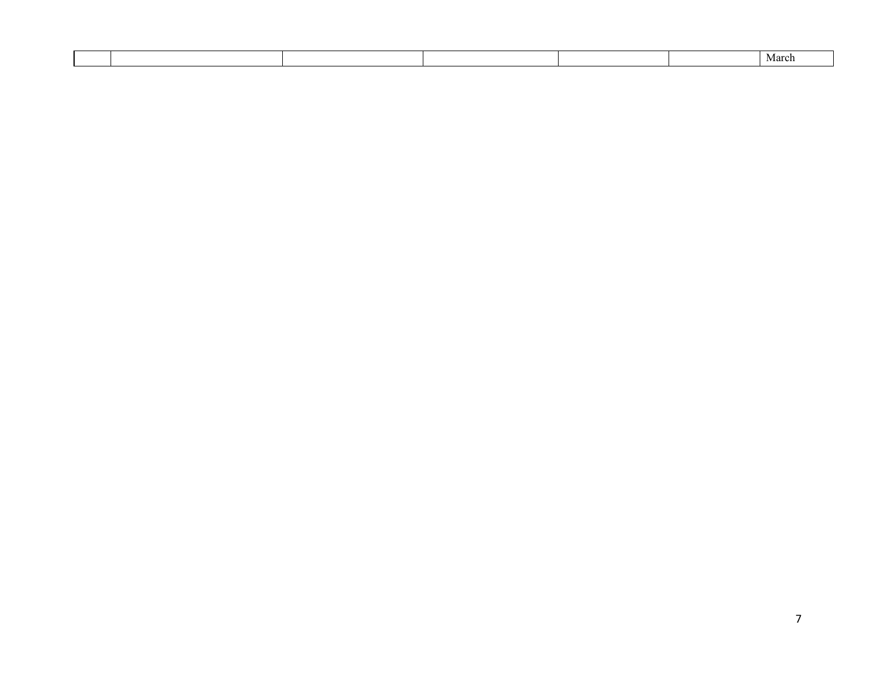|  |  |  | Marcr |
|--|--|--|-------|
|  |  |  |       |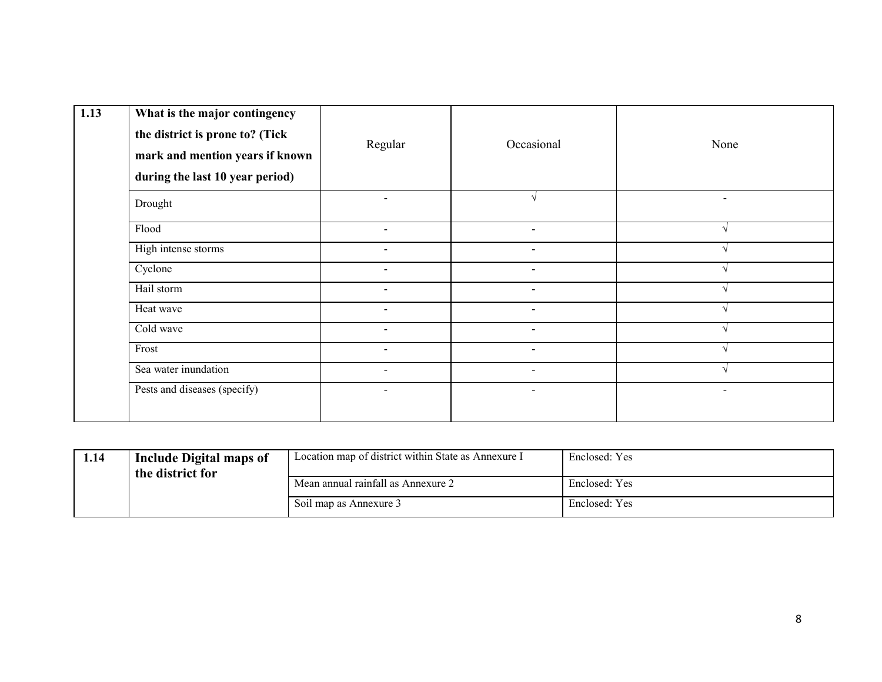| 1.13 | What is the major contingency<br>the district is prone to? (Tick<br>mark and mention years if known<br>during the last 10 year period) | Regular                  | Occasional               | None                     |
|------|----------------------------------------------------------------------------------------------------------------------------------------|--------------------------|--------------------------|--------------------------|
|      | Drought                                                                                                                                | $\sim$                   |                          | $\overline{\phantom{a}}$ |
|      | Flood                                                                                                                                  | $\overline{\phantom{a}}$ | $\overline{\phantom{a}}$ |                          |
|      | High intense storms                                                                                                                    | $\blacksquare$           | $\blacksquare$           |                          |
|      | Cyclone                                                                                                                                |                          |                          |                          |
|      | Hail storm                                                                                                                             | $\overline{a}$           | $\blacksquare$           |                          |
|      | Heat wave                                                                                                                              | $\sim$                   | $\sim$                   |                          |
|      | Cold wave                                                                                                                              |                          | $\overline{\phantom{0}}$ |                          |
|      | Frost                                                                                                                                  | $\overline{\phantom{a}}$ | $\overline{\phantom{a}}$ |                          |
|      | Sea water inundation                                                                                                                   | $\sim$                   | $\sim$                   |                          |
|      | Pests and diseases (specify)                                                                                                           | $\blacksquare$           | $\overline{\phantom{a}}$ | $\overline{\phantom{a}}$ |

| 1.14 | Include Digital maps of<br>the district for | Location map of district within State as Annexure I | Enclosed: Yes |
|------|---------------------------------------------|-----------------------------------------------------|---------------|
|      | Mean annual rainfall as Annexure 2          | Enclosed: Yes                                       |               |
|      | Soil map as Annexure 3                      | Enclosed: Yes                                       |               |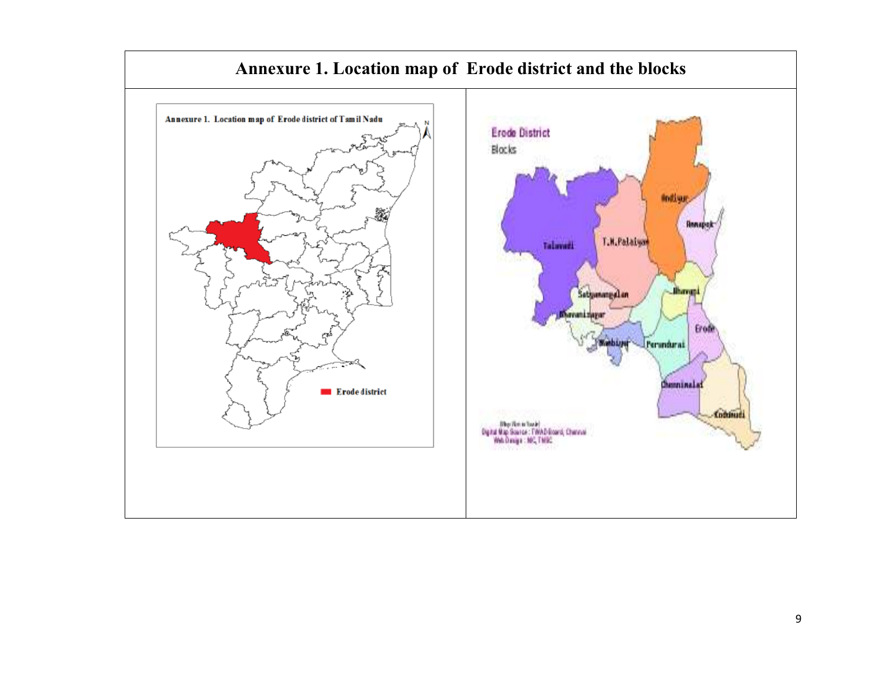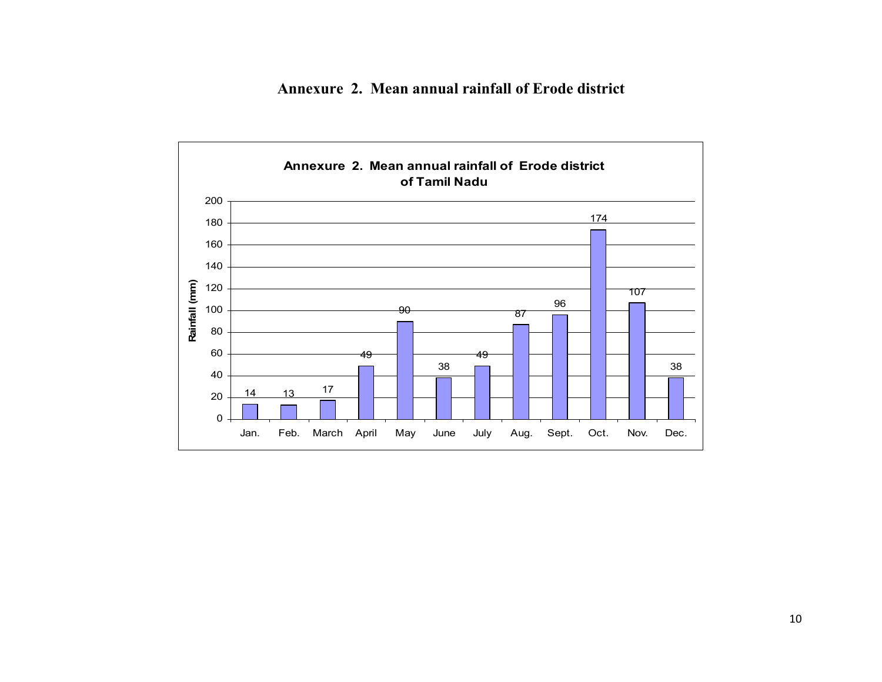Annexure 2. Mean annual rainfall of Erode district

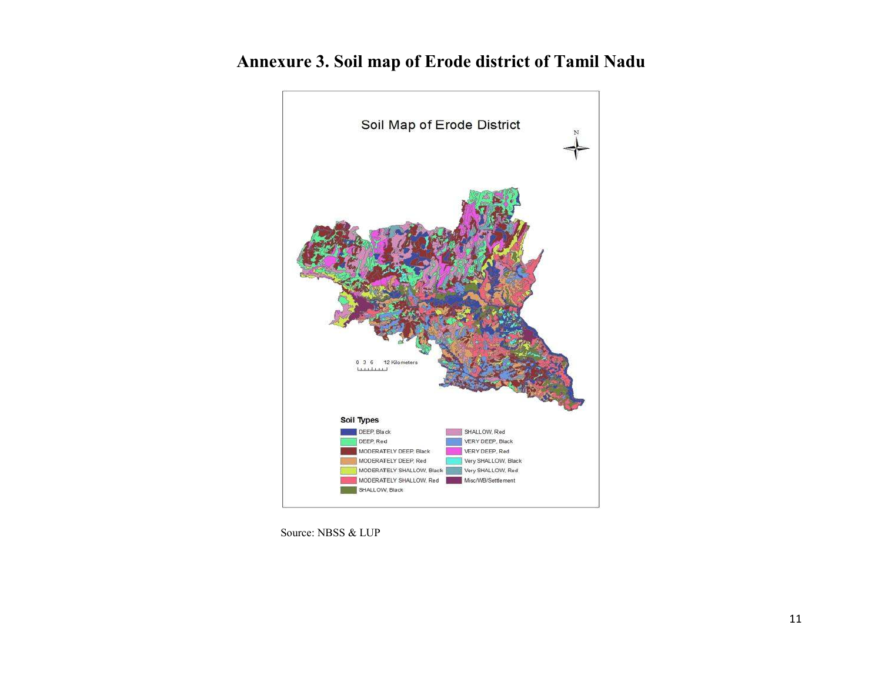

## Annexure 3. Soil map of Erode district of Tamil Nadu

Source: NBSS & LUP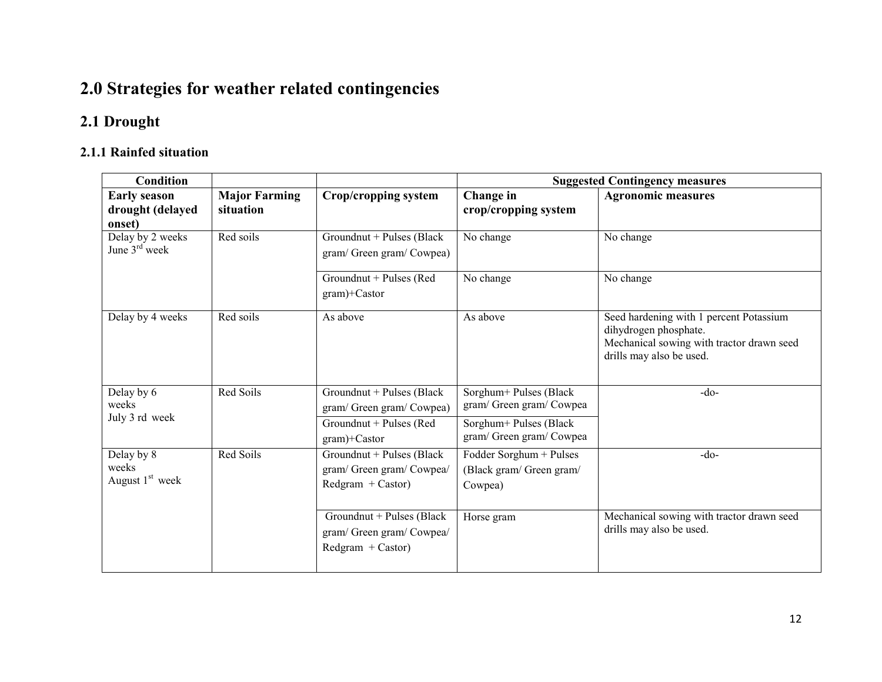## 2.0 Strategies for weather related contingencies

### 2.1 Drought

#### 2.1.1 Rainfed situation

| <b>Condition</b>                                  |                                   |                                                                               | <b>Suggested Contingency measures</b>                          |                                                                                                                                           |  |
|---------------------------------------------------|-----------------------------------|-------------------------------------------------------------------------------|----------------------------------------------------------------|-------------------------------------------------------------------------------------------------------------------------------------------|--|
| <b>Early season</b><br>drought (delayed<br>onset) | <b>Major Farming</b><br>situation | Crop/cropping system                                                          | Change in<br>crop/cropping system                              | <b>Agronomic measures</b>                                                                                                                 |  |
| Delay by 2 weeks<br>June $3rd$ week               | Red soils                         | Groundnut + Pulses (Black<br>gram/ Green gram/ Cowpea)                        | No change                                                      | No change                                                                                                                                 |  |
|                                                   |                                   | Groundnut + Pulses (Red<br>gram)+Castor                                       | No change                                                      | No change                                                                                                                                 |  |
| Delay by 4 weeks                                  | Red soils                         | As above                                                                      | As above                                                       | Seed hardening with 1 percent Potassium<br>dihydrogen phosphate.<br>Mechanical sowing with tractor drawn seed<br>drills may also be used. |  |
| Delay by 6<br>weeks                               | Red Soils                         | Groundnut + Pulses (Black<br>gram/ Green gram/ Cowpea)                        | Sorghum+ Pulses (Black<br>gram/ Green gram/ Cowpea             | $-do-$                                                                                                                                    |  |
| July 3 rd week                                    |                                   | Groundnut + Pulses (Red<br>gram)+Castor                                       | Sorghum+ Pulses (Black<br>gram/Green gram/Cowpea               |                                                                                                                                           |  |
| Delay by 8<br>weeks<br>August $1st$ week          | Red Soils                         | Groundnut + Pulses (Black<br>gram/ Green gram/ Cowpea/<br>$Redgram + Castor)$ | Fodder Sorghum + Pulses<br>(Black gram/ Green gram/<br>Cowpea) | $-do-$                                                                                                                                    |  |
|                                                   |                                   | Groundnut + Pulses (Black<br>gram/ Green gram/ Cowpea/<br>$Redgram + Castor)$ | Horse gram                                                     | Mechanical sowing with tractor drawn seed<br>drills may also be used.                                                                     |  |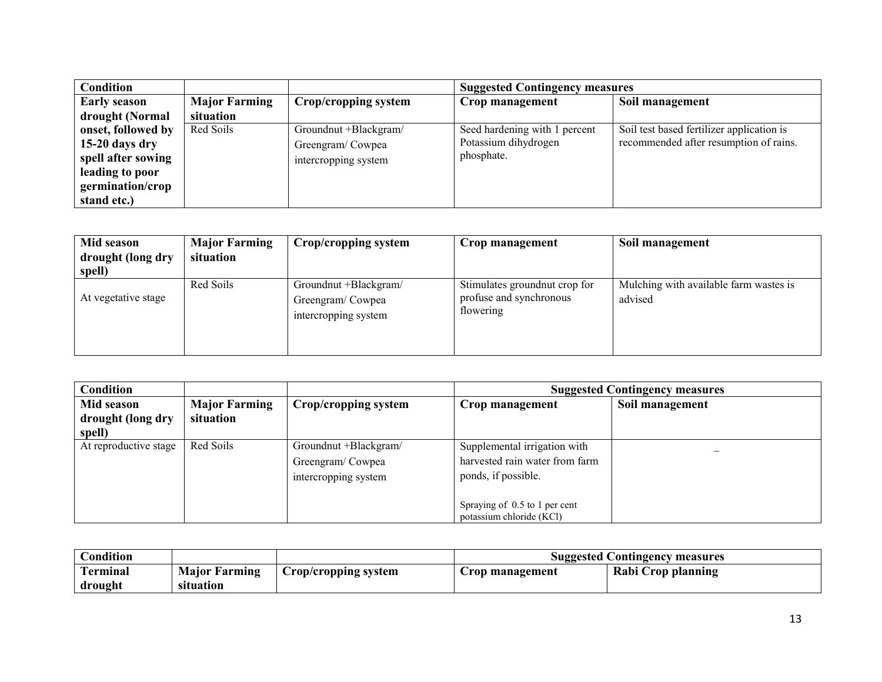| Condition           |                      |                       | <b>Suggested Contingency measures</b> |                                           |
|---------------------|----------------------|-----------------------|---------------------------------------|-------------------------------------------|
| <b>Early season</b> | <b>Major Farming</b> | Crop/cropping system  | Crop management                       | Soil management                           |
| drought (Normal     | situation            |                       |                                       |                                           |
| onset, followed by  | Red Soils            | Groundnut +Blackgram/ | Seed hardening with 1 percent         | Soil test based fertilizer application is |
| $15-20$ days dry    |                      | Greengram/Cowpea      | Potassium dihydrogen                  | recommended after resumption of rains.    |
| spell after sowing  |                      | intercropping system  | phosphate.                            |                                           |
| leading to poor     |                      |                       |                                       |                                           |
| germination/crop    |                      |                       |                                       |                                           |
| stand etc.)         |                      |                       |                                       |                                           |

| Mid season<br>drought (long dry<br>spell) | <b>Major Farming</b><br>situation | Crop/cropping system                                              | Crop management                                                        | Soil management                                   |
|-------------------------------------------|-----------------------------------|-------------------------------------------------------------------|------------------------------------------------------------------------|---------------------------------------------------|
| At vegetative stage                       | Red Soils                         | Groundnut +Blackgram/<br>Greengram/Cowpea<br>intercropping system | Stimulates ground nut crop for<br>profuse and synchronous<br>flowering | Mulching with available farm wastes is<br>advised |

| <b>Condition</b>                          |                                   |                                                                   |                                                                                                                                                    | <b>Suggested Contingency measures</b> |
|-------------------------------------------|-----------------------------------|-------------------------------------------------------------------|----------------------------------------------------------------------------------------------------------------------------------------------------|---------------------------------------|
| Mid season<br>drought (long dry<br>spell) | <b>Major Farming</b><br>situation | Crop/cropping system                                              | Crop management                                                                                                                                    | Soil management                       |
| At reproductive stage                     | Red Soils                         | Groundnut +Blackgram/<br>Greengram/Cowpea<br>intercropping system | Supplemental irrigation with<br>harvested rain water from farm<br>ponds, if possible.<br>Spraying of 0.5 to 1 per cent<br>potassium chloride (KCl) |                                       |

| <b>Condition</b>         |                      |                      |                 | Suggested Contingency measures |
|--------------------------|----------------------|----------------------|-----------------|--------------------------------|
| $\mathbf{r}$<br>Terminal | <b>Major Farming</b> | Crop/cropping system | Crop management | Rabi Crop planning             |
| drought                  | situation            |                      |                 |                                |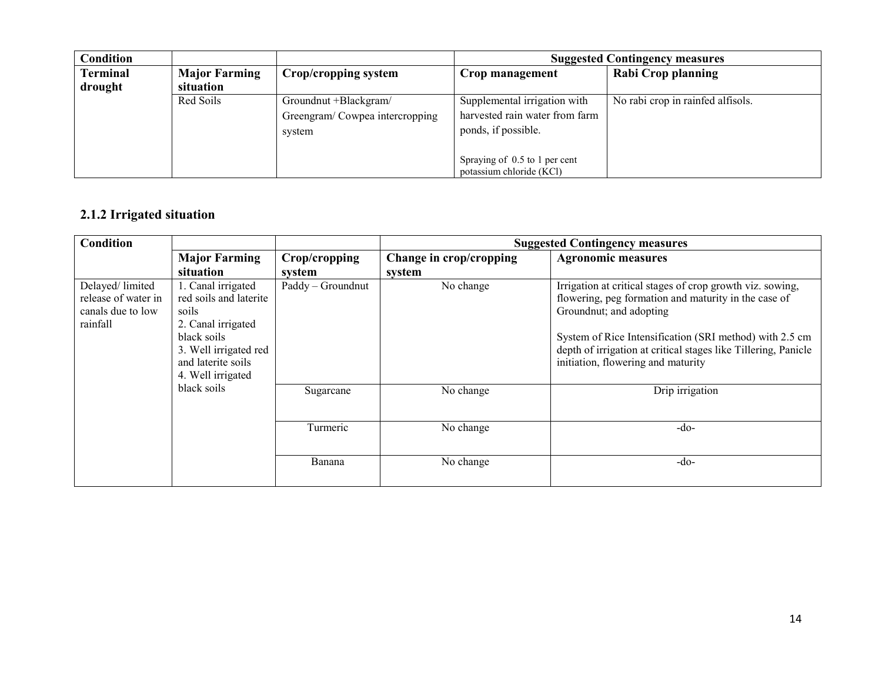| <b>Condition</b> |                      |                                |                                | <b>Suggested Contingency measures</b> |
|------------------|----------------------|--------------------------------|--------------------------------|---------------------------------------|
| <b>Terminal</b>  | <b>Major Farming</b> | Crop/cropping system           | Crop management                | Rabi Crop planning                    |
| drought          | situation            |                                |                                |                                       |
|                  | Red Soils            | Groundnut +Blackgram/          | Supplemental irrigation with   | No rabi crop in rainfed alfisols.     |
|                  |                      | Greengram/Cowpea intercropping | harvested rain water from farm |                                       |
|                  |                      | system                         | ponds, if possible.            |                                       |
|                  |                      |                                |                                |                                       |
|                  |                      |                                | Spraying of 0.5 to 1 per cent  |                                       |
|                  |                      |                                | potassium chloride (KCl)       |                                       |

#### 2.1.2 Irrigated situation

| <b>Condition</b>                                                         |                                                                                                                                                                |                         | <b>Suggested Contingency measures</b> |                                                                                                                                                                                                                                                                                                                 |  |
|--------------------------------------------------------------------------|----------------------------------------------------------------------------------------------------------------------------------------------------------------|-------------------------|---------------------------------------|-----------------------------------------------------------------------------------------------------------------------------------------------------------------------------------------------------------------------------------------------------------------------------------------------------------------|--|
|                                                                          | <b>Major Farming</b><br>situation                                                                                                                              | Crop/cropping<br>system | Change in crop/cropping<br>system     | <b>Agronomic measures</b>                                                                                                                                                                                                                                                                                       |  |
| Delayed/ limited<br>release of water in<br>canals due to low<br>rainfall | 1. Canal irrigated<br>red soils and laterite<br>soils<br>2. Canal irrigated<br>black soils<br>3. Well irrigated red<br>and laterite soils<br>4. Well irrigated | Paddy - Groundnut       | No change                             | Irrigation at critical stages of crop growth viz. sowing,<br>flowering, peg formation and maturity in the case of<br>Groundnut; and adopting<br>System of Rice Intensification (SRI method) with 2.5 cm<br>depth of irrigation at critical stages like Tillering, Panicle<br>initiation, flowering and maturity |  |
|                                                                          | black soils                                                                                                                                                    | Sugarcane               | No change                             | Drip irrigation                                                                                                                                                                                                                                                                                                 |  |
|                                                                          |                                                                                                                                                                | Turmeric                | No change                             | $-do-$                                                                                                                                                                                                                                                                                                          |  |
|                                                                          |                                                                                                                                                                | Banana                  | No change                             | $-do-$                                                                                                                                                                                                                                                                                                          |  |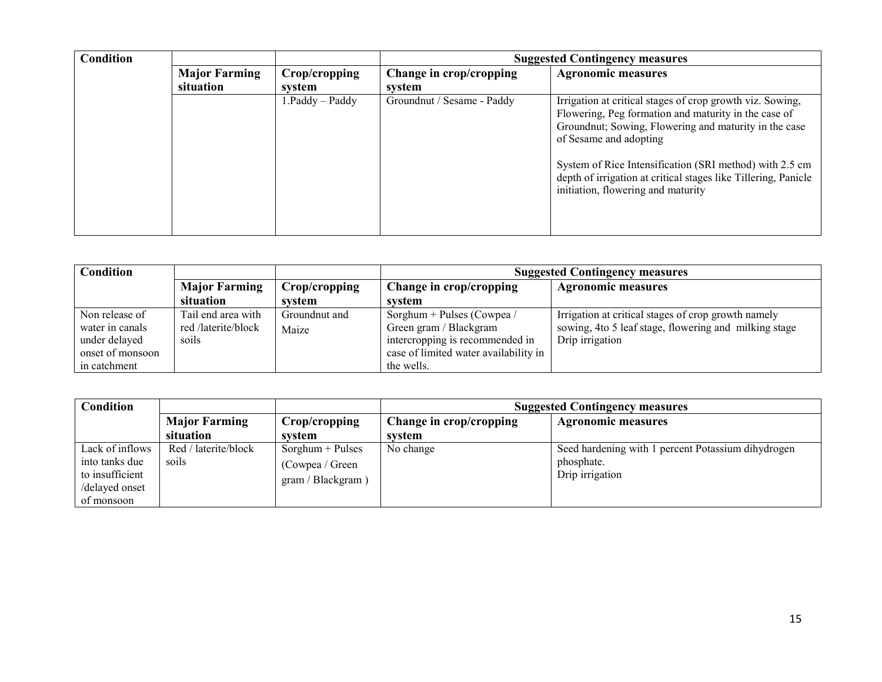| <b>Condition</b> |                      |                   | <b>Suggested Contingency measures</b> |                                                                                                                                                                                                                                                                                                                                                                         |  |  |
|------------------|----------------------|-------------------|---------------------------------------|-------------------------------------------------------------------------------------------------------------------------------------------------------------------------------------------------------------------------------------------------------------------------------------------------------------------------------------------------------------------------|--|--|
|                  | <b>Major Farming</b> | Crop/cropping     | Change in crop/cropping               | <b>Agronomic measures</b>                                                                                                                                                                                                                                                                                                                                               |  |  |
|                  | situation            | system            | system                                |                                                                                                                                                                                                                                                                                                                                                                         |  |  |
|                  |                      | $1.Paddy - Paddy$ | Groundnut / Sesame - Paddy            | Irrigation at critical stages of crop growth viz. Sowing,<br>Flowering, Peg formation and maturity in the case of<br>Groundnut; Sowing, Flowering and maturity in the case<br>of Sesame and adopting<br>System of Rice Intensification (SRI method) with 2.5 cm<br>depth of irrigation at critical stages like Tillering, Panicle<br>initiation, flowering and maturity |  |  |

| <b>Condition</b> |                      |               | <b>Suggested Contingency measures</b> |                                                       |  |
|------------------|----------------------|---------------|---------------------------------------|-------------------------------------------------------|--|
|                  | <b>Major Farming</b> | Crop/cropping | Change in crop/cropping               | <b>Agronomic measures</b>                             |  |
|                  | situation            | system        | system                                |                                                       |  |
| Non release of   | Tail end area with   | Groundnut and | Sorghum + Pulses (Cowpea /            | Irrigation at critical stages of crop growth namely   |  |
| water in canals  | red /laterite/block  | Maize         | Green gram / Blackgram                | sowing, 4to 5 leaf stage, flowering and milking stage |  |
| under delayed    | soils                |               | intercropping is recommended in       | Drip irrigation                                       |  |
| onset of monsoon |                      |               | case of limited water availability in |                                                       |  |
| in catchment     |                      |               | the wells.                            |                                                       |  |

| Condition       |                      |                    | <b>Suggested Contingency measures</b>                |                                                    |  |
|-----------------|----------------------|--------------------|------------------------------------------------------|----------------------------------------------------|--|
|                 | <b>Major Farming</b> | Crop/cropping      | Change in crop/cropping<br><b>Agronomic measures</b> |                                                    |  |
|                 | situation            | system             | svstem                                               |                                                    |  |
| Lack of inflows | Red / laterite/block | $Sorghum + Pulses$ | No change                                            | Seed hardening with 1 percent Potassium dihydrogen |  |
| into tanks due  | soils                | (Cowpea / Green    |                                                      | phosphate.                                         |  |
| to insufficient |                      | gram / Blackgram)  |                                                      | Drip irrigation                                    |  |
| /delayed onset  |                      |                    |                                                      |                                                    |  |
| of monsoon      |                      |                    |                                                      |                                                    |  |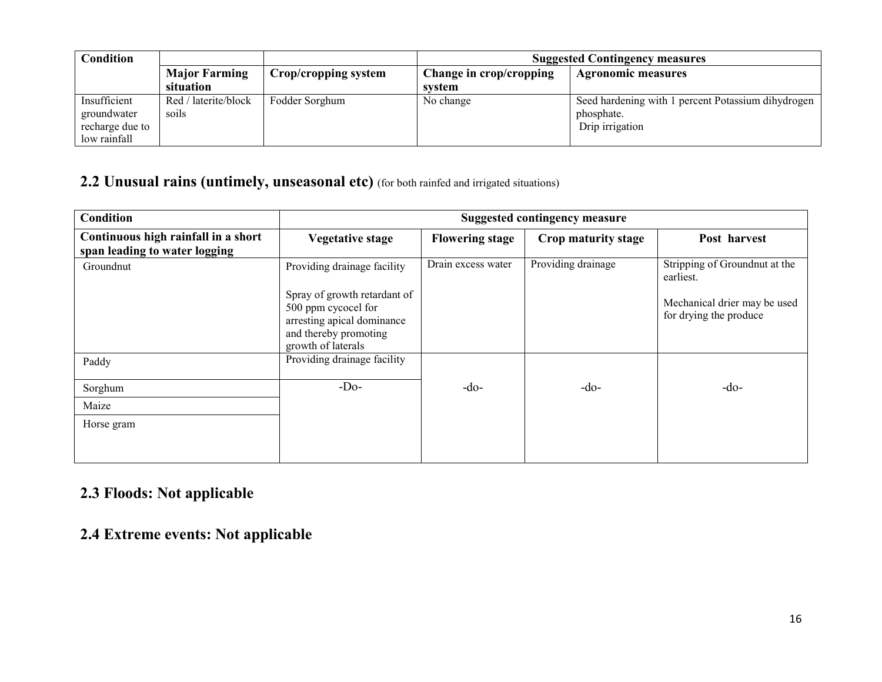| <b>Condition</b> |                      |                      | <b>Suggested Contingency measures</b> |                                                    |  |
|------------------|----------------------|----------------------|---------------------------------------|----------------------------------------------------|--|
|                  | <b>Major Farming</b> | Crop/cropping system | Change in crop/cropping               | <b>Agronomic measures</b>                          |  |
|                  | situation            |                      | system                                |                                                    |  |
| Insufficient     | Red / laterite/block | Fodder Sorghum       | No change                             | Seed hardening with 1 percent Potassium dihydrogen |  |
| groundwater      | soils                |                      |                                       | phosphate.                                         |  |
| recharge due to  |                      |                      |                                       | Drip irrigation                                    |  |
| low rainfall     |                      |                      |                                       |                                                    |  |

## 2.2 Unusual rains (untimely, unseasonal etc) (for both rainfed and irrigated situations)

| <b>Condition</b>                                                     | <b>Suggested contingency measure</b>                                                                                                                            |                        |                     |                                                                                                      |  |
|----------------------------------------------------------------------|-----------------------------------------------------------------------------------------------------------------------------------------------------------------|------------------------|---------------------|------------------------------------------------------------------------------------------------------|--|
| Continuous high rainfall in a short<br>span leading to water logging | <b>Vegetative stage</b>                                                                                                                                         | <b>Flowering stage</b> | Crop maturity stage | Post harvest                                                                                         |  |
| Groundnut                                                            | Providing drainage facility<br>Spray of growth retardant of<br>500 ppm cycocel for<br>arresting apical dominance<br>and thereby promoting<br>growth of laterals | Drain excess water     | Providing drainage  | Stripping of Groundnut at the<br>earliest.<br>Mechanical drier may be used<br>for drying the produce |  |
| Paddy                                                                | Providing drainage facility                                                                                                                                     |                        |                     |                                                                                                      |  |
| Sorghum                                                              | $-Do-$                                                                                                                                                          | $-do-$                 | $-do-$              | $-do-$                                                                                               |  |
| Maize                                                                |                                                                                                                                                                 |                        |                     |                                                                                                      |  |
| Horse gram                                                           |                                                                                                                                                                 |                        |                     |                                                                                                      |  |

### 2.3 Floods: Not applicable

## 2.4 Extreme events: Not applicable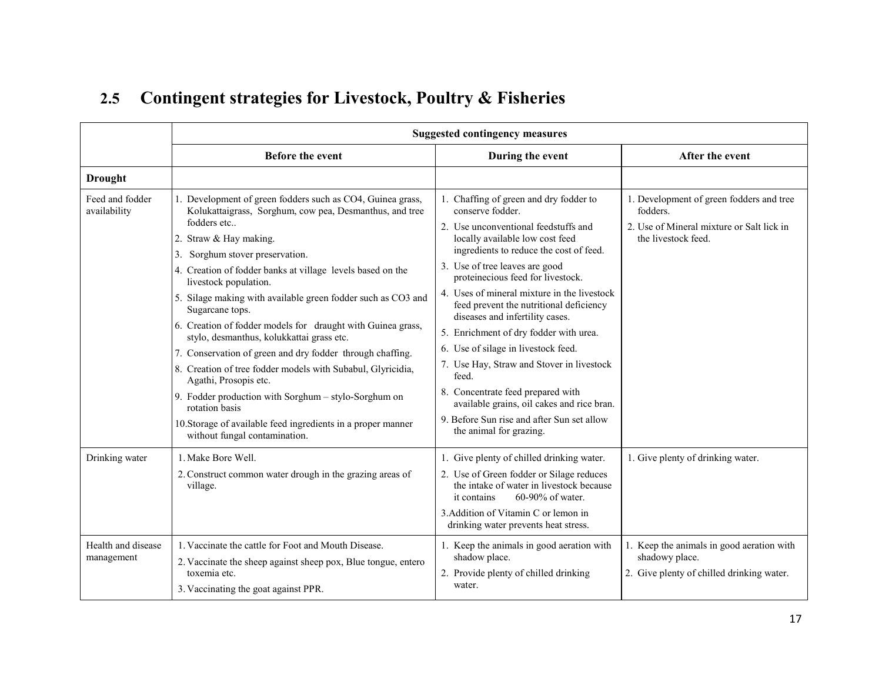| 2.5 Contingent strategies for Livestock, Poultry & Fisheries |  |
|--------------------------------------------------------------|--|
|--------------------------------------------------------------|--|

|                                  | <b>Suggested contingency measures</b>                                                                                                                                                                                                                                                                                                                                                                                                                                                                                                                                                                                                                                                                                                                                                  |                                                                                                                                                                                                                                                                                                                                                                                                                                                                                                                                                                                                                                                              |                                                                                                                          |  |
|----------------------------------|----------------------------------------------------------------------------------------------------------------------------------------------------------------------------------------------------------------------------------------------------------------------------------------------------------------------------------------------------------------------------------------------------------------------------------------------------------------------------------------------------------------------------------------------------------------------------------------------------------------------------------------------------------------------------------------------------------------------------------------------------------------------------------------|--------------------------------------------------------------------------------------------------------------------------------------------------------------------------------------------------------------------------------------------------------------------------------------------------------------------------------------------------------------------------------------------------------------------------------------------------------------------------------------------------------------------------------------------------------------------------------------------------------------------------------------------------------------|--------------------------------------------------------------------------------------------------------------------------|--|
|                                  | Before the event                                                                                                                                                                                                                                                                                                                                                                                                                                                                                                                                                                                                                                                                                                                                                                       | During the event                                                                                                                                                                                                                                                                                                                                                                                                                                                                                                                                                                                                                                             | After the event                                                                                                          |  |
| <b>Drought</b>                   |                                                                                                                                                                                                                                                                                                                                                                                                                                                                                                                                                                                                                                                                                                                                                                                        |                                                                                                                                                                                                                                                                                                                                                                                                                                                                                                                                                                                                                                                              |                                                                                                                          |  |
| Feed and fodder<br>availability  | 1. Development of green fodders such as CO4, Guinea grass,<br>Kolukattaigrass, Sorghum, cow pea, Desmanthus, and tree<br>fodders etc<br>2. Straw & Hay making.<br>3. Sorghum stover preservation.<br>4. Creation of fodder banks at village levels based on the<br>livestock population.<br>5. Silage making with available green fodder such as CO3 and<br>Sugarcane tops.<br>6. Creation of fodder models for draught with Guinea grass,<br>stylo, desmanthus, kolukkattai grass etc.<br>7. Conservation of green and dry fodder through chaffing.<br>8. Creation of tree fodder models with Subabul, Glyricidia,<br>Agathi, Prosopis etc.<br>9. Fodder production with Sorghum - stylo-Sorghum on<br>rotation basis<br>10. Storage of available feed ingredients in a proper manner | 1. Chaffing of green and dry fodder to<br>conserve fodder.<br>2. Use unconventional feedstuffs and<br>locally available low cost feed<br>ingredients to reduce the cost of feed.<br>3. Use of tree leaves are good<br>proteinecious feed for livestock.<br>4. Uses of mineral mixture in the livestock<br>feed prevent the nutritional deficiency<br>diseases and infertility cases.<br>5. Enrichment of dry fodder with urea.<br>6. Use of silage in livestock feed.<br>7. Use Hay, Straw and Stover in livestock<br>feed.<br>8. Concentrate feed prepared with<br>available grains, oil cakes and rice bran.<br>9. Before Sun rise and after Sun set allow | 1. Development of green fodders and tree<br>fodders.<br>2. Use of Mineral mixture or Salt lick in<br>the livestock feed. |  |
|                                  | without fungal contamination.                                                                                                                                                                                                                                                                                                                                                                                                                                                                                                                                                                                                                                                                                                                                                          | the animal for grazing.                                                                                                                                                                                                                                                                                                                                                                                                                                                                                                                                                                                                                                      |                                                                                                                          |  |
| Drinking water                   | 1. Make Bore Well.<br>2. Construct common water drough in the grazing areas of<br>village.                                                                                                                                                                                                                                                                                                                                                                                                                                                                                                                                                                                                                                                                                             | 1. Give plenty of chilled drinking water.<br>2. Use of Green fodder or Silage reduces<br>the intake of water in livestock because<br>60-90% of water.<br>it contains<br>3. Addition of Vitamin C or lemon in<br>drinking water prevents heat stress.                                                                                                                                                                                                                                                                                                                                                                                                         | 1. Give plenty of drinking water.                                                                                        |  |
| Health and disease<br>management | 1. Vaccinate the cattle for Foot and Mouth Disease.<br>2. Vaccinate the sheep against sheep pox, Blue tongue, entero<br>toxemia etc.<br>3. Vaccinating the goat against PPR.                                                                                                                                                                                                                                                                                                                                                                                                                                                                                                                                                                                                           | 1. Keep the animals in good aeration with<br>shadow place.<br>2. Provide plenty of chilled drinking<br>water.                                                                                                                                                                                                                                                                                                                                                                                                                                                                                                                                                | 1. Keep the animals in good aeration with<br>shadowy place.<br>2. Give plenty of chilled drinking water.                 |  |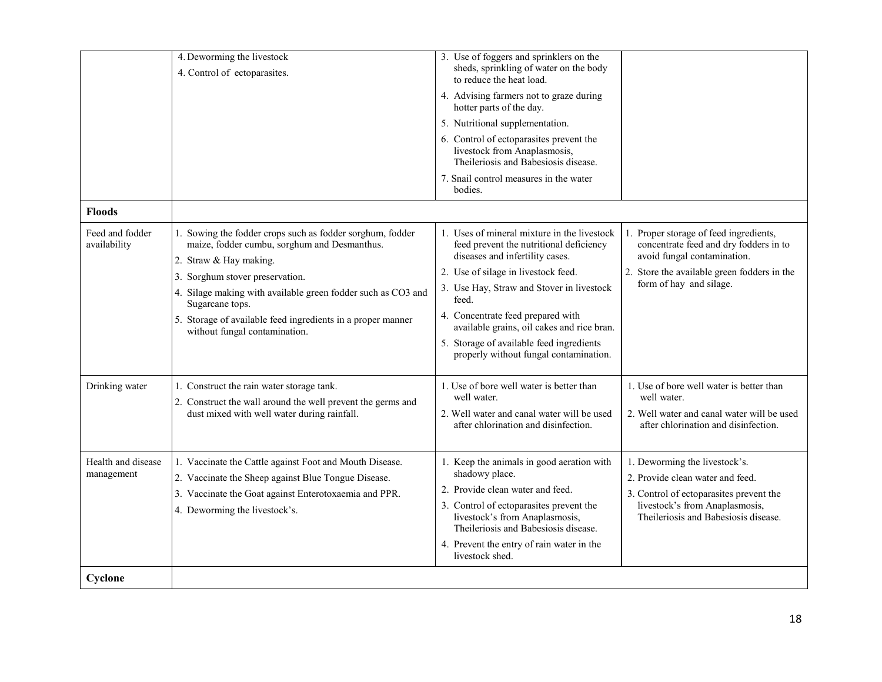| 4. Deworming the livestock                                                                                                                         | 3. Use of foggers and sprinklers on the                                                                           |                                                                                                                    |
|----------------------------------------------------------------------------------------------------------------------------------------------------|-------------------------------------------------------------------------------------------------------------------|--------------------------------------------------------------------------------------------------------------------|
| 4. Control of ectoparasites.                                                                                                                       | sheds, sprinkling of water on the body<br>to reduce the heat load.                                                |                                                                                                                    |
|                                                                                                                                                    | 4. Advising farmers not to graze during<br>hotter parts of the day.                                               |                                                                                                                    |
|                                                                                                                                                    | 5. Nutritional supplementation.                                                                                   |                                                                                                                    |
|                                                                                                                                                    | 6. Control of ectoparasites prevent the<br>livestock from Anaplasmosis,<br>Theileriosis and Babesiosis disease.   |                                                                                                                    |
|                                                                                                                                                    | 7. Snail control measures in the water<br>bodies.                                                                 |                                                                                                                    |
| <b>Floods</b>                                                                                                                                      |                                                                                                                   |                                                                                                                    |
| Feed and fodder<br>1. Sowing the fodder crops such as fodder sorghum, fodder<br>availability<br>maize, fodder cumbu, sorghum and Desmanthus.       | 1. Uses of mineral mixture in the livestock<br>feed prevent the nutritional deficiency                            | Proper storage of feed ingredients,<br>concentrate feed and dry fodders in to                                      |
| 2. Straw & Hay making.                                                                                                                             | diseases and infertility cases.                                                                                   | avoid fungal contamination.                                                                                        |
| 3. Sorghum stover preservation.                                                                                                                    | 2. Use of silage in livestock feed.<br>3. Use Hay, Straw and Stover in livestock                                  | 2. Store the available green fodders in the<br>form of hay and silage.                                             |
| 4. Silage making with available green fodder such as CO3 and<br>Sugarcane tops.                                                                    | feed.                                                                                                             |                                                                                                                    |
| 5. Storage of available feed ingredients in a proper manner<br>without fungal contamination.                                                       | 4. Concentrate feed prepared with<br>available grains, oil cakes and rice bran.                                   |                                                                                                                    |
|                                                                                                                                                    | 5. Storage of available feed ingredients<br>properly without fungal contamination.                                |                                                                                                                    |
| Drinking water<br>1. Construct the rain water storage tank.                                                                                        | 1. Use of bore well water is better than<br>well water.                                                           | 1. Use of bore well water is better than<br>well water.                                                            |
| 2. Construct the wall around the well prevent the germs and<br>dust mixed with well water during rainfall.                                         | 2. Well water and canal water will be used<br>after chlorination and disinfection.                                | 2. Well water and canal water will be used<br>after chlorination and disinfection.                                 |
| Health and disease<br>1. Vaccinate the Cattle against Foot and Mouth Disease.<br>management<br>2. Vaccinate the Sheep against Blue Tongue Disease. | 1. Keep the animals in good aeration with<br>shadowy place.<br>2. Provide clean water and feed.                   | 1. Deworming the livestock's.<br>2. Provide clean water and feed.                                                  |
| 3. Vaccinate the Goat against Enterotoxaemia and PPR.<br>4. Deworming the livestock's.                                                             | 3. Control of ectoparasites prevent the<br>livestock's from Anaplasmosis,<br>Theileriosis and Babesiosis disease. | 3. Control of ectoparasites prevent the<br>livestock's from Anaplasmosis,<br>The ileriosis and Babesiosis disease. |
|                                                                                                                                                    | 4. Prevent the entry of rain water in the<br>livestock shed.                                                      |                                                                                                                    |
| Cyclone                                                                                                                                            |                                                                                                                   |                                                                                                                    |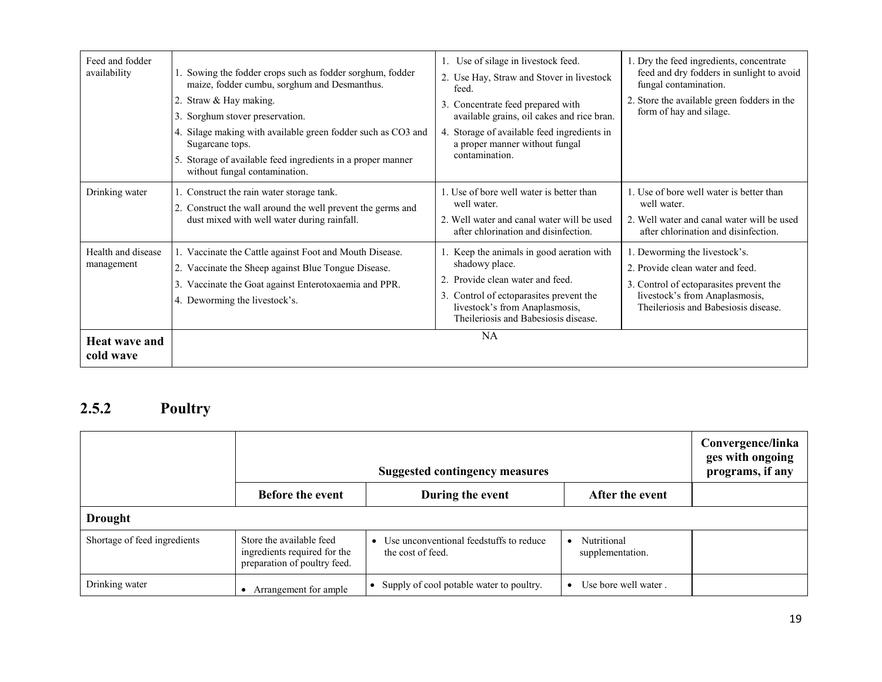| Feed and fodder<br>availability   | 1. Sowing the fodder crops such as fodder sorghum, fodder<br>maize, fodder cumbu, sorghum and Desmanthus.<br>2. Straw & Hay making.<br>3. Sorghum stover preservation.<br>4. Silage making with available green fodder such as CO3 and | 1. Use of silage in livestock feed.<br>2. Use Hay, Straw and Stover in livestock<br>feed.<br>Concentrate feed prepared with<br>available grains, oil cakes and rice bran.<br>Storage of available feed ingredients in<br>4. | 1. Dry the feed ingredients, concentrate<br>feed and dry fodders in sunlight to avoid<br>fungal contamination.<br>2. Store the available green fodders in the<br>form of hay and silage. |
|-----------------------------------|----------------------------------------------------------------------------------------------------------------------------------------------------------------------------------------------------------------------------------------|-----------------------------------------------------------------------------------------------------------------------------------------------------------------------------------------------------------------------------|------------------------------------------------------------------------------------------------------------------------------------------------------------------------------------------|
|                                   | Sugarcane tops.<br>5. Storage of available feed ingredients in a proper manner<br>without fungal contamination.                                                                                                                        | a proper manner without fungal<br>contamination.                                                                                                                                                                            |                                                                                                                                                                                          |
| Drinking water                    | 1. Construct the rain water storage tank.<br>2. Construct the wall around the well prevent the germs and<br>dust mixed with well water during rainfall.                                                                                | 1. Use of bore well water is better than<br>well water.<br>2. Well water and canal water will be used<br>after chlorination and disinfection.                                                                               | 1. Use of bore well water is better than<br>well water.<br>2. Well water and canal water will be used<br>after chlorination and disinfection.                                            |
| Health and disease<br>management  | 1. Vaccinate the Cattle against Foot and Mouth Disease.<br>2. Vaccinate the Sheep against Blue Tongue Disease.<br>Vaccinate the Goat against Enterotoxaemia and PPR.<br>4. Deworming the livestock's.                                  | 1. Keep the animals in good aeration with<br>shadowy place.<br>Provide clean water and feed.<br>3. Control of ectoparasites prevent the<br>livestock's from Anaplasmosis,<br>The ileriosis and Babesiosis disease.          | 1. Deworming the livestock's.<br>2. Provide clean water and feed.<br>3. Control of ectoparasites prevent the<br>livestock's from Anaplasmosis,<br>The ileriosis and Babesiosis disease.  |
| <b>Heat wave and</b><br>cold wave |                                                                                                                                                                                                                                        | NA                                                                                                                                                                                                                          |                                                                                                                                                                                          |

### 2.5.2 Poultry

|                              |                                                                                          | Convergence/linka<br>ges with ongoing<br>programs, if any    |                                 |  |
|------------------------------|------------------------------------------------------------------------------------------|--------------------------------------------------------------|---------------------------------|--|
|                              | <b>Before the event</b>                                                                  | During the event                                             | After the event                 |  |
| <b>Drought</b>               |                                                                                          |                                                              |                                 |  |
| Shortage of feed ingredients | Store the available feed<br>ingredients required for the<br>preparation of poultry feed. | Use unconventional feedstuffs to reduce<br>the cost of feed. | Nutritional<br>supplementation. |  |
| Drinking water               | Arrangement for ample                                                                    | Supply of cool potable water to poultry.                     | Use bore well water             |  |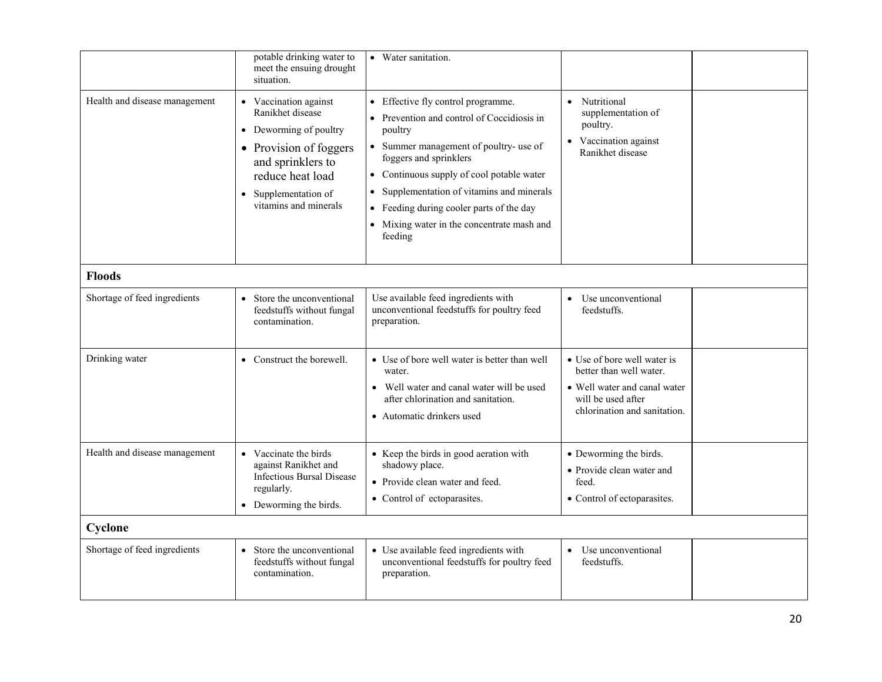|                               | potable drinking water to<br>meet the ensuing drought<br>situation.                                                                                                                                           | • Water sanitation.                                                                                                                                                                                                                                                                                                                                             |                                                                                                                                              |  |
|-------------------------------|---------------------------------------------------------------------------------------------------------------------------------------------------------------------------------------------------------------|-----------------------------------------------------------------------------------------------------------------------------------------------------------------------------------------------------------------------------------------------------------------------------------------------------------------------------------------------------------------|----------------------------------------------------------------------------------------------------------------------------------------------|--|
| Health and disease management | • Vaccination against<br>Ranikhet disease<br>Deworming of poultry<br>$\bullet$<br>• Provision of foggers<br>and sprinklers to<br>reduce heat load<br>Supplementation of<br>$\bullet$<br>vitamins and minerals | • Effective fly control programme.<br>• Prevention and control of Coccidiosis in<br>poultry<br>• Summer management of poultry- use of<br>foggers and sprinklers<br>• Continuous supply of cool potable water<br>• Supplementation of vitamins and minerals<br>• Feeding during cooler parts of the day<br>• Mixing water in the concentrate mash and<br>feeding | • Nutritional<br>supplementation of<br>poultry.<br>• Vaccination against<br>Ranikhet disease                                                 |  |
| <b>Floods</b>                 |                                                                                                                                                                                                               |                                                                                                                                                                                                                                                                                                                                                                 |                                                                                                                                              |  |
| Shortage of feed ingredients  | Store the unconventional<br>feedstuffs without fungal<br>contamination.                                                                                                                                       | Use available feed ingredients with<br>unconventional feedstuffs for poultry feed<br>preparation.                                                                                                                                                                                                                                                               | Use unconventional<br>$\bullet$<br>feedstuffs.                                                                                               |  |
| Drinking water                | • Construct the borewell.                                                                                                                                                                                     | • Use of bore well water is better than well<br>water.<br>Well water and canal water will be used<br>$\bullet$<br>after chlorination and sanitation.<br>• Automatic drinkers used                                                                                                                                                                               | • Use of bore well water is<br>better than well water.<br>• Well water and canal water<br>will be used after<br>chlorination and sanitation. |  |
| Health and disease management | • Vaccinate the birds<br>against Ranikhet and<br><b>Infectious Bursal Disease</b><br>regularly.<br>• Deworming the birds.                                                                                     | • Keep the birds in good aeration with<br>shadowy place.<br>• Provide clean water and feed.<br>• Control of ectoparasites.                                                                                                                                                                                                                                      | • Deworming the birds.<br>• Provide clean water and<br>feed.<br>• Control of ectoparasites.                                                  |  |
| Cyclone                       |                                                                                                                                                                                                               |                                                                                                                                                                                                                                                                                                                                                                 |                                                                                                                                              |  |
| Shortage of feed ingredients  | • Store the unconventional<br>feedstuffs without fungal<br>contamination.                                                                                                                                     | • Use available feed ingredients with<br>unconventional feedstuffs for poultry feed<br>preparation.                                                                                                                                                                                                                                                             | Use unconventional<br>$\bullet$<br>feedstuffs.                                                                                               |  |
|                               |                                                                                                                                                                                                               |                                                                                                                                                                                                                                                                                                                                                                 |                                                                                                                                              |  |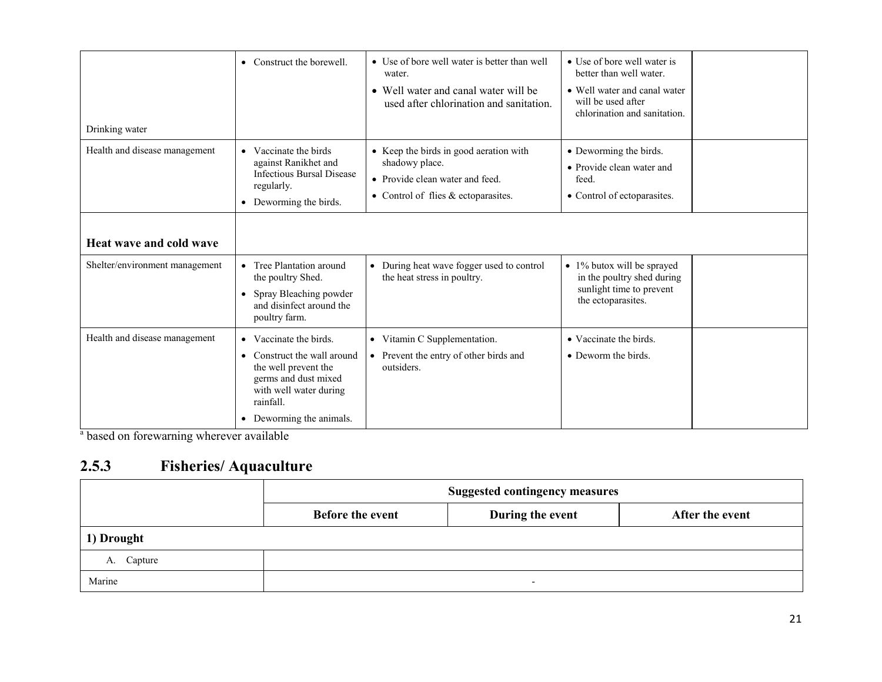| Drinking water                 | • Construct the borewell.                                                                                                                                                | • Use of bore well water is better than well<br>water.<br>• Well water and canal water will be<br>used after chlorination and sanitation. | • Use of bore well water is<br>better than well water.<br>• Well water and canal water<br>will be used after<br>chlorination and sanitation. |  |
|--------------------------------|--------------------------------------------------------------------------------------------------------------------------------------------------------------------------|-------------------------------------------------------------------------------------------------------------------------------------------|----------------------------------------------------------------------------------------------------------------------------------------------|--|
| Health and disease management  | • Vaccinate the birds<br>against Ranikhet and<br><b>Infectious Bursal Disease</b><br>regularly.<br>• Deworming the birds.                                                | • Keep the birds in good aeration with<br>shadowy place.<br>• Provide clean water and feed.<br>• Control of flies $&$ ectoparasites.      | • Deworming the birds.<br>• Provide clean water and<br>feed.<br>• Control of ectoparasites.                                                  |  |
| <b>Heat wave and cold wave</b> |                                                                                                                                                                          |                                                                                                                                           |                                                                                                                                              |  |
| Shelter/environment management | • Tree Plantation around<br>the poultry Shed.<br>• Spray Bleaching powder<br>and disinfect around the<br>poultry farm.                                                   | • During heat wave fogger used to control<br>the heat stress in poultry.                                                                  | • 1% butox will be sprayed<br>in the poultry shed during<br>sunlight time to prevent<br>the ectoparasites.                                   |  |
| Health and disease management  | • Vaccinate the birds.<br>• Construct the wall around<br>the well prevent the<br>germs and dust mixed<br>with well water during<br>rainfall.<br>• Deworming the animals. | • Vitamin C Supplementation.<br>• Prevent the entry of other birds and<br>outsiders.                                                      | • Vaccinate the birds.<br>• Deworm the birds.                                                                                                |  |

<sup>a</sup> based on forewarning wherever available

#### 2.5.3 Fisheries/ Aquaculture

|            | <b>Suggested contingency measures</b> |                          |                 |  |
|------------|---------------------------------------|--------------------------|-----------------|--|
|            | <b>Before the event</b>               | During the event         | After the event |  |
| 1) Drought |                                       |                          |                 |  |
| A. Capture |                                       |                          |                 |  |
| Marine     |                                       | $\overline{\phantom{0}}$ |                 |  |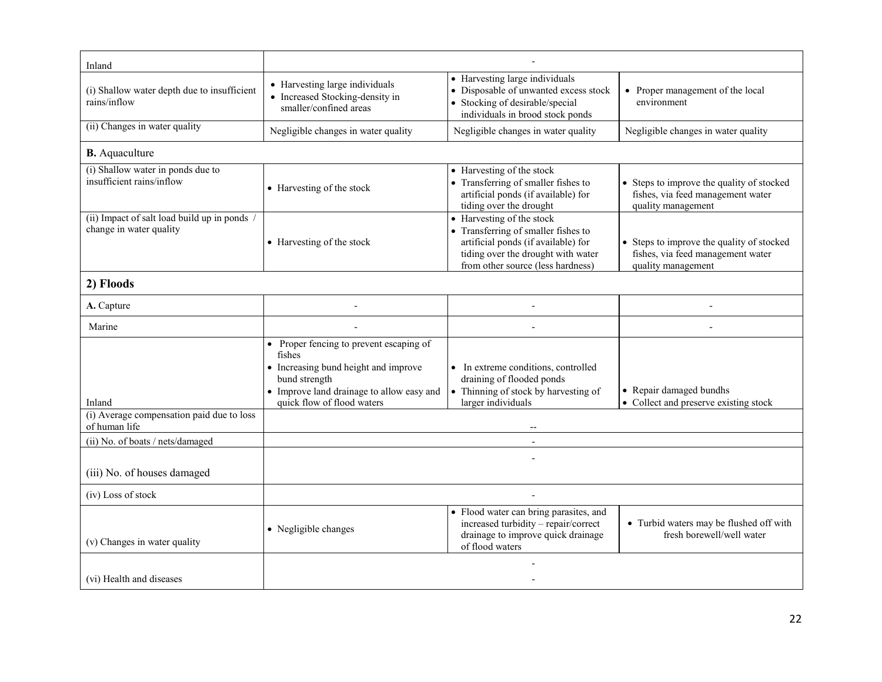| Inland                                                                |                                                                                                                                                                                       |                                                                                                                                                                                    |                                                                                                      |  |  |
|-----------------------------------------------------------------------|---------------------------------------------------------------------------------------------------------------------------------------------------------------------------------------|------------------------------------------------------------------------------------------------------------------------------------------------------------------------------------|------------------------------------------------------------------------------------------------------|--|--|
| (i) Shallow water depth due to insufficient<br>rains/inflow           | • Harvesting large individuals<br>• Increased Stocking-density in<br>smaller/confined areas                                                                                           | • Harvesting large individuals<br>• Disposable of unwanted excess stock<br>• Stocking of desirable/special<br>individuals in brood stock ponds                                     | • Proper management of the local<br>environment                                                      |  |  |
| (ii) Changes in water quality                                         | Negligible changes in water quality                                                                                                                                                   | Negligible changes in water quality                                                                                                                                                | Negligible changes in water quality                                                                  |  |  |
| <b>B.</b> Aquaculture                                                 |                                                                                                                                                                                       |                                                                                                                                                                                    |                                                                                                      |  |  |
| (i) Shallow water in ponds due to<br>insufficient rains/inflow        | • Harvesting of the stock                                                                                                                                                             | • Harvesting of the stock<br>• Transferring of smaller fishes to<br>artificial ponds (if available) for<br>tiding over the drought                                                 | • Steps to improve the quality of stocked<br>fishes, via feed management water<br>quality management |  |  |
| (ii) Impact of salt load build up in ponds<br>change in water quality | • Harvesting of the stock                                                                                                                                                             | • Harvesting of the stock<br>• Transferring of smaller fishes to<br>artificial ponds (if available) for<br>tiding over the drought with water<br>from other source (less hardness) | • Steps to improve the quality of stocked<br>fishes, via feed management water<br>quality management |  |  |
| 2) Floods                                                             |                                                                                                                                                                                       |                                                                                                                                                                                    |                                                                                                      |  |  |
| A. Capture                                                            |                                                                                                                                                                                       |                                                                                                                                                                                    |                                                                                                      |  |  |
| Marine                                                                | $\overline{\phantom{a}}$                                                                                                                                                              |                                                                                                                                                                                    | $\overline{a}$                                                                                       |  |  |
| Inland                                                                | • Proper fencing to prevent escaping of<br>fishes<br>• Increasing bund height and improve<br>bund strength<br>• Improve land drainage to allow easy and<br>quick flow of flood waters | • In extreme conditions, controlled<br>draining of flooded ponds<br>• Thinning of stock by harvesting of<br>larger individuals                                                     | • Repair damaged bundhs<br>• Collect and preserve existing stock                                     |  |  |
| (i) Average compensation paid due to loss<br>of human life            |                                                                                                                                                                                       |                                                                                                                                                                                    |                                                                                                      |  |  |
| (ii) No. of boats / nets/damaged                                      | $\sim$                                                                                                                                                                                |                                                                                                                                                                                    |                                                                                                      |  |  |
| (iii) No. of houses damaged                                           |                                                                                                                                                                                       |                                                                                                                                                                                    |                                                                                                      |  |  |
| (iv) Loss of stock                                                    |                                                                                                                                                                                       |                                                                                                                                                                                    |                                                                                                      |  |  |
| (v) Changes in water quality                                          | • Negligible changes                                                                                                                                                                  | • Flood water can bring parasites, and<br>increased turbidity - repair/correct<br>drainage to improve quick drainage<br>of flood waters                                            | • Turbid waters may be flushed off with<br>fresh borewell/well water                                 |  |  |
| (vi) Health and diseases                                              |                                                                                                                                                                                       |                                                                                                                                                                                    |                                                                                                      |  |  |